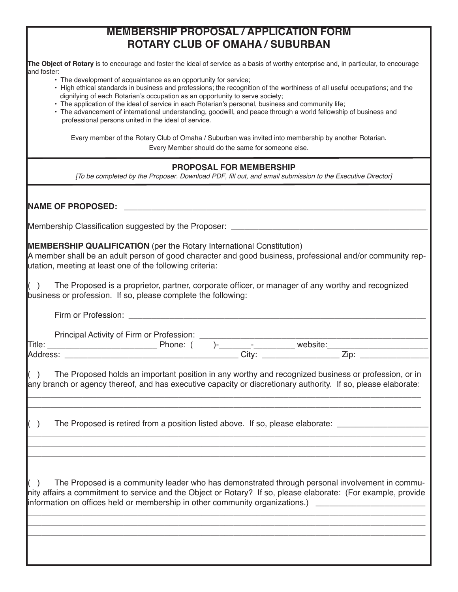## **MEMBERSHIP PROPOSAL / APPLICATION FORM ROTARY CLUB OF OMAHA / SUBURBAN**

**The Object of Rotary** is to encourage and foster the ideal of service as a basis of worthy enterprise and, in particular, to encourage and foster:

- The development of acquaintance as an opportunity for service;
- High ethical standards in business and professions; the recognition of the worthiness of all useful occupations; and the dignifying of each Rotarian's occupation as an opportunity to serve society;
- The application of the ideal of service in each Rotarian's personal, business and community life;
- The advancement of international understanding, goodwill, and peace through a world fellowship of business and professional persons united in the ideal of service.

Every member of the Rotary Club of Omaha / Suburban was invited into membership by another Rotarian. Every Member should do the same for someone else.

## **PROPOSAL FOR MEMBERSHIP**

*[To be completed by the Proposer*. Download PDF, fill out, and email submission *to the* Executive *Director]*

| <b>INAME OF PROPOSED:</b> _______________________                                                                                                                                                                                                                                                                              |
|--------------------------------------------------------------------------------------------------------------------------------------------------------------------------------------------------------------------------------------------------------------------------------------------------------------------------------|
| Membership Classification suggested by the Proposer: ____________________________                                                                                                                                                                                                                                              |
| <b>MEMBERSHIP QUALIFICATION</b> (per the Rotary International Constitution)<br>A member shall be an adult person of good character and good business, professional and/or community rep-<br>utation, meeting at least one of the following criteria:                                                                           |
| $($ ) The Proposed is a proprietor, partner, corporate officer, or manager of any worthy and recognized<br>business or profession. If so, please complete the following:                                                                                                                                                       |
|                                                                                                                                                                                                                                                                                                                                |
|                                                                                                                                                                                                                                                                                                                                |
| $($ ) The Proposed holds an important position in any worthy and recognized business or profession, or in<br>any branch or agency thereof, and has executive capacity or discretionary authority. If so, please elaborate:                                                                                                     |
| ( )<br>The Proposed is retired from a position listed above. If so, please elaborate: _____________________                                                                                                                                                                                                                    |
| ( )<br>The Proposed is a community leader who has demonstrated through personal involvement in commu-<br>nity affairs a commitment to service and the Object or Rotary? If so, please elaborate: (For example, provide<br>information on offices held or membership in other community organizations.) _______________________ |
|                                                                                                                                                                                                                                                                                                                                |